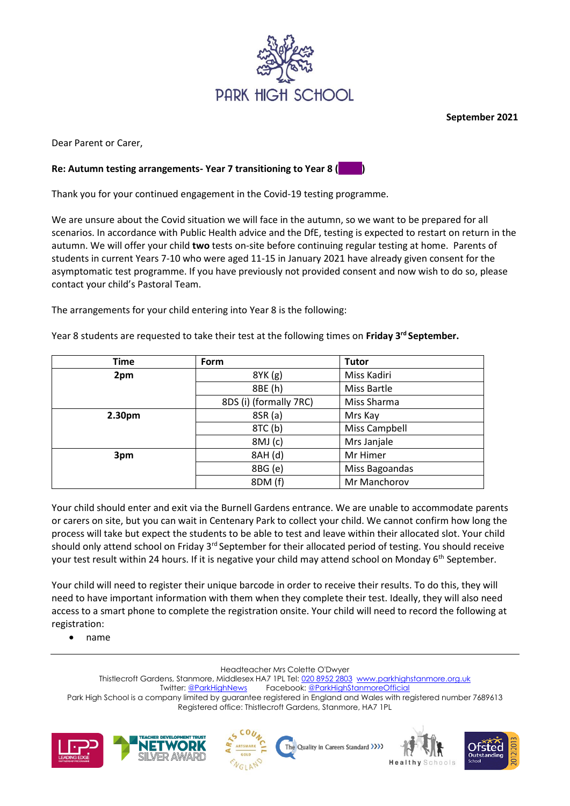

**September 2021**

Dear Parent or Carer,

## **Re: Autumn testing arrangements- Year 7 transitioning to Year 8 ( )**

Thank you for your continued engagement in the Covid-19 testing programme.

We are unsure about the Covid situation we will face in the autumn, so we want to be prepared for all scenarios. In accordance with Public Health advice and the DfE, testing is expected to restart on return in the autumn. We will offer your child **two** tests on-site before continuing regular testing at home. Parents of students in current Years 7-10 who were aged 11-15 in January 2021 have already given consent for the asymptomatic test programme. If you have previously not provided consent and now wish to do so, please contact your child's Pastoral Team.

The arrangements for your child entering into Year 8 is the following:

Year 8 students are requested to take their test at the following times on **Friday 3rd September.** 

| <b>Time</b>        | Form                   | <b>Tutor</b>   |
|--------------------|------------------------|----------------|
| 2pm                | 8YK (g)                | Miss Kadiri    |
|                    | 8BE (h)                | Miss Bartle    |
|                    | 8DS (i) (formally 7RC) | Miss Sharma    |
| 2.30 <sub>pm</sub> | 8SR (a)                | Mrs Kay        |
|                    | 8TC (b)                | Miss Campbell  |
|                    | 8MJ (c)                | Mrs Janjale    |
| 3pm                | 8AH (d)                | Mr Himer       |
|                    | 8BG (e)                | Miss Bagoandas |
|                    | 8DM (f)                | Mr Manchorov   |

Your child should enter and exit via the Burnell Gardens entrance. We are unable to accommodate parents or carers on site, but you can wait in Centenary Park to collect your child. We cannot confirm how long the process will take but expect the students to be able to test and leave within their allocated slot. Your child should only attend school on Friday 3<sup>rd</sup> September for their allocated period of testing. You should receive your test result within 24 hours. If it is negative your child may attend school on Monday 6<sup>th</sup> September.

Your child will need to register their unique barcode in order to receive their results. To do this, they will need to have important information with them when they complete their test. Ideally, they will also need access to a smart phone to complete the registration onsite. Your child will need to record the following at registration:

• name

Headteacher Mrs Colette O'Dwyer

Thistlecroft Gardens, Stanmore, Middlesex HA7 1PL Tel: [020 8952 2803](file://///phs-apps-06/Digital$/Templates/020%208952%202803) [www.parkhighstanmore.org.uk](file://///phs-apps-06/Digital$/Templates/www.parkhighstanmore.org.uk) Twitter[: @ParkHighNews](https://twitter.com/ParkHighNews) Facebook[: @ParkHighStanmoreOfficial](https://www.facebook.com/pg/ParkHighStanmoreOfficial) Park High School is a company limited by guarantee registered in England and Wales with registered number 7689613 Registered office: Thistlecroft Gardens, Stanmore, HA7 1PL